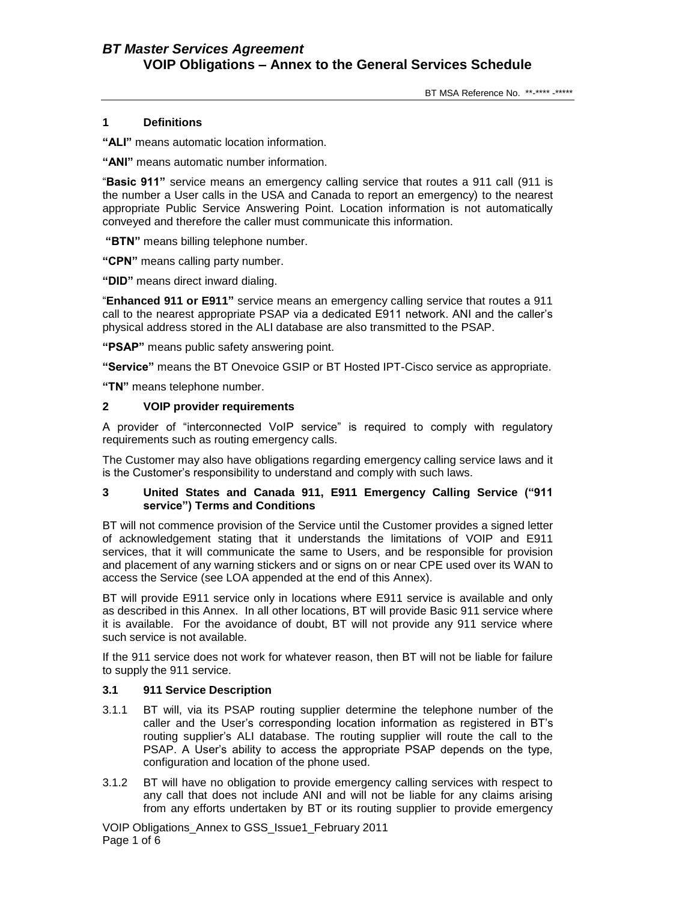# **1 Definitions**

**"ALI"** means automatic location information.

**"ANI"** means automatic number information.

"**Basic 911"** service means an emergency calling service that routes a 911 call (911 is the number a User calls in the USA and Canada to report an emergency) to the nearest appropriate Public Service Answering Point. Location information is not automatically conveyed and therefore the caller must communicate this information.

**"BTN"** means billing telephone number.

**"CPN"** means calling party number.

**"DID"** means direct inward dialing.

"**Enhanced 911 or E911"** service means an emergency calling service that routes a 911 call to the nearest appropriate PSAP via a dedicated E911 network. ANI and the caller's physical address stored in the ALI database are also transmitted to the PSAP.

**"PSAP"** means public safety answering point.

**"Service"** means the BT Onevoice GSIP or BT Hosted IPT-Cisco service as appropriate.

**"TN"** means telephone number.

## **2 VOIP provider requirements**

A provider of "interconnected VoIP service" is required to comply with regulatory requirements such as routing emergency calls.

The Customer may also have obligations regarding emergency calling service laws and it is the Customer's responsibility to understand and comply with such laws.

### **3 United States and Canada 911, E911 Emergency Calling Service ("911 service") Terms and Conditions**

BT will not commence provision of the Service until the Customer provides a signed letter of acknowledgement stating that it understands the limitations of VOIP and E911 services, that it will communicate the same to Users, and be responsible for provision and placement of any warning stickers and or signs on or near CPE used over its WAN to access the Service (see LOA appended at the end of this Annex).

BT will provide E911 service only in locations where E911 service is available and only as described in this Annex. In all other locations, BT will provide Basic 911 service where it is available. For the avoidance of doubt, BT will not provide any 911 service where such service is not available.

If the 911 service does not work for whatever reason, then BT will not be liable for failure to supply the 911 service.

### **3.1 911 Service Description**

- 3.1.1 BT will, via its PSAP routing supplier determine the telephone number of the caller and the User's corresponding location information as registered in BT's routing supplier's ALI database. The routing supplier will route the call to the PSAP. A User's ability to access the appropriate PSAP depends on the type, configuration and location of the phone used.
- 3.1.2 BT will have no obligation to provide emergency calling services with respect to any call that does not include ANI and will not be liable for any claims arising from any efforts undertaken by BT or its routing supplier to provide emergency

VOIP Obligations\_Annex to GSS\_Issue1\_February 2011 Page 1 of 6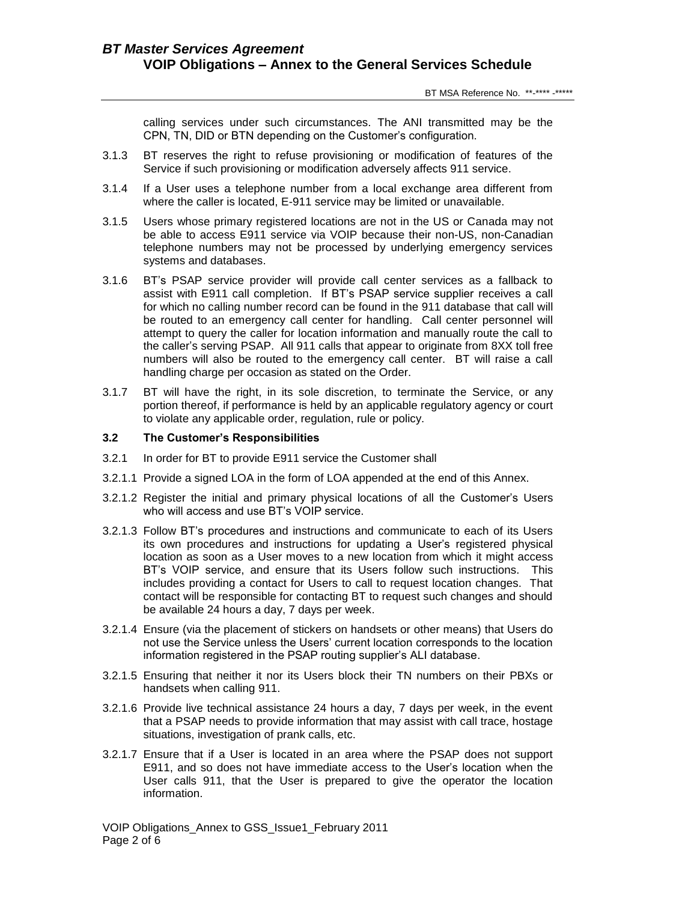calling services under such circumstances. The ANI transmitted may be the CPN, TN, DID or BTN depending on the Customer's configuration.

- 3.1.3 BT reserves the right to refuse provisioning or modification of features of the Service if such provisioning or modification adversely affects 911 service.
- 3.1.4 If a User uses a telephone number from a local exchange area different from where the caller is located, E-911 service may be limited or unavailable.
- 3.1.5 Users whose primary registered locations are not in the US or Canada may not be able to access E911 service via VOIP because their non-US, non-Canadian telephone numbers may not be processed by underlying emergency services systems and databases.
- 3.1.6 BT's PSAP service provider will provide call center services as a fallback to assist with E911 call completion. If BT's PSAP service supplier receives a call for which no calling number record can be found in the 911 database that call will be routed to an emergency call center for handling. Call center personnel will attempt to query the caller for location information and manually route the call to the caller's serving PSAP. All 911 calls that appear to originate from 8XX toll free numbers will also be routed to the emergency call center. BT will raise a call handling charge per occasion as stated on the Order.
- 3.1.7 BT will have the right, in its sole discretion, to terminate the Service, or any portion thereof, if performance is held by an applicable regulatory agency or court to violate any applicable order, regulation, rule or policy.

# **3.2 The Customer's Responsibilities**

- 3.2.1 In order for BT to provide E911 service the Customer shall
- 3.2.1.1 Provide a signed LOA in the form of LOA appended at the end of this Annex.
- 3.2.1.2 Register the initial and primary physical locations of all the Customer's Users who will access and use BT's VOIP service.
- 3.2.1.3 Follow BT's procedures and instructions and communicate to each of its Users its own procedures and instructions for updating a User's registered physical location as soon as a User moves to a new location from which it might access BT's VOIP service, and ensure that its Users follow such instructions. This includes providing a contact for Users to call to request location changes. That contact will be responsible for contacting BT to request such changes and should be available 24 hours a day, 7 days per week.
- 3.2.1.4 Ensure (via the placement of stickers on handsets or other means) that Users do not use the Service unless the Users' current location corresponds to the location information registered in the PSAP routing supplier's ALI database.
- 3.2.1.5 Ensuring that neither it nor its Users block their TN numbers on their PBXs or handsets when calling 911.
- 3.2.1.6 Provide live technical assistance 24 hours a day, 7 days per week, in the event that a PSAP needs to provide information that may assist with call trace, hostage situations, investigation of prank calls, etc.
- 3.2.1.7 Ensure that if a User is located in an area where the PSAP does not support E911, and so does not have immediate access to the User's location when the User calls 911, that the User is prepared to give the operator the location information.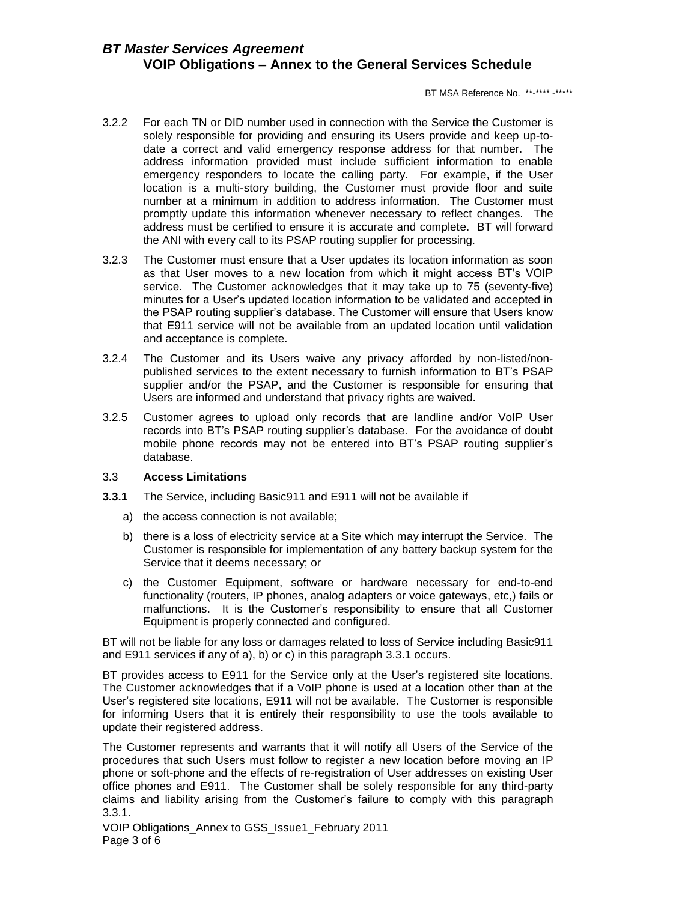- 3.2.2 For each TN or DID number used in connection with the Service the Customer is solely responsible for providing and ensuring its Users provide and keep up-todate a correct and valid emergency response address for that number. The address information provided must include sufficient information to enable emergency responders to locate the calling party. For example, if the User location is a multi-story building, the Customer must provide floor and suite number at a minimum in addition to address information. The Customer must promptly update this information whenever necessary to reflect changes. The address must be certified to ensure it is accurate and complete. BT will forward the ANI with every call to its PSAP routing supplier for processing.
- 3.2.3 The Customer must ensure that a User updates its location information as soon as that User moves to a new location from which it might access BT's VOIP service. The Customer acknowledges that it may take up to 75 (seventy-five) minutes for a User's updated location information to be validated and accepted in the PSAP routing supplier's database. The Customer will ensure that Users know that E911 service will not be available from an updated location until validation and acceptance is complete.
- 3.2.4 The Customer and its Users waive any privacy afforded by non-listed/nonpublished services to the extent necessary to furnish information to BT's PSAP supplier and/or the PSAP, and the Customer is responsible for ensuring that Users are informed and understand that privacy rights are waived.
- 3.2.5 Customer agrees to upload only records that are landline and/or VoIP User records into BT's PSAP routing supplier's database. For the avoidance of doubt mobile phone records may not be entered into BT's PSAP routing supplier's database.

## 3.3 **Access Limitations**

- **3.3.1** The Service, including Basic911 and E911 will not be available if
	- a) the access connection is not available;
	- b) there is a loss of electricity service at a Site which may interrupt the Service. The Customer is responsible for implementation of any battery backup system for the Service that it deems necessary; or
	- c) the Customer Equipment, software or hardware necessary for end-to-end functionality (routers, IP phones, analog adapters or voice gateways, etc,) fails or malfunctions. It is the Customer's responsibility to ensure that all Customer Equipment is properly connected and configured.

BT will not be liable for any loss or damages related to loss of Service including Basic911 and E911 services if any of a), b) or c) in this paragraph 3.3.1 occurs.

BT provides access to E911 for the Service only at the User's registered site locations. The Customer acknowledges that if a VoIP phone is used at a location other than at the User's registered site locations, E911 will not be available. The Customer is responsible for informing Users that it is entirely their responsibility to use the tools available to update their registered address.

The Customer represents and warrants that it will notify all Users of the Service of the procedures that such Users must follow to register a new location before moving an IP phone or soft-phone and the effects of re-registration of User addresses on existing User office phones and E911. The Customer shall be solely responsible for any third-party claims and liability arising from the Customer's failure to comply with this paragraph 3.3.1.

VOIP Obligations\_Annex to GSS\_Issue1\_February 2011 Page 3 of 6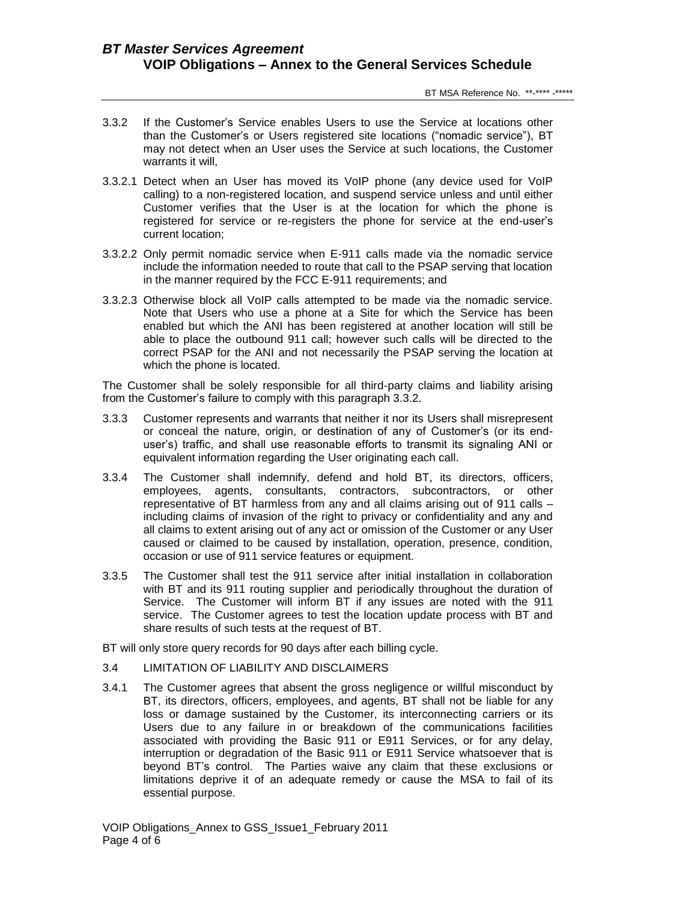- 3.3.2 If the Customer's Service enables Users to use the Service at locations other than the Customer's or Users registered site locations ("nomadic service"), BT may not detect when an User uses the Service at such locations, the Customer warrants it will,
- 3.3.2.1 Detect when an User has moved its VoIP phone (any device used for VoIP calling) to a non-registered location, and suspend service unless and until either Customer verifies that the User is at the location for which the phone is registered for service or re-registers the phone for service at the end-user's current location;
- 3.3.2.2 Only permit nomadic service when E-911 calls made via the nomadic service include the information needed to route that call to the PSAP serving that location in the manner required by the FCC E-911 requirements; and
- 3.3.2.3 Otherwise block all VoIP calls attempted to be made via the nomadic service. Note that Users who use a phone at a Site for which the Service has been enabled but which the ANI has been registered at another location will still be able to place the outbound 911 call; however such calls will be directed to the correct PSAP for the ANI and not necessarily the PSAP serving the location at which the phone is located.

The Customer shall be solely responsible for all third-party claims and liability arising from the Customer's failure to comply with this paragraph 3.3.2.

- 3.3.3 Customer represents and warrants that neither it nor its Users shall misrepresent or conceal the nature, origin, or destination of any of Customer's (or its enduser's) traffic, and shall use reasonable efforts to transmit its signaling ANI or equivalent information regarding the User originating each call.
- 3.3.4 The Customer shall indemnify, defend and hold BT, its directors, officers, employees, agents, consultants, contractors, subcontractors, or other representative of BT harmless from any and all claims arising out of 911 calls – including claims of invasion of the right to privacy or confidentiality and any and all claims to extent arising out of any act or omission of the Customer or any User caused or claimed to be caused by installation, operation, presence, condition, occasion or use of 911 service features or equipment.
- 3.3.5 The Customer shall test the 911 service after initial installation in collaboration with BT and its 911 routing supplier and periodically throughout the duration of Service. The Customer will inform BT if any issues are noted with the 911 service. The Customer agrees to test the location update process with BT and share results of such tests at the request of BT.

BT will only store query records for 90 days after each billing cycle.

- 3.4 LIMITATION OF LIABILITY AND DISCLAIMERS
- 3.4.1 The Customer agrees that absent the gross negligence or willful misconduct by BT, its directors, officers, employees, and agents, BT shall not be liable for any loss or damage sustained by the Customer, its interconnecting carriers or its Users due to any failure in or breakdown of the communications facilities associated with providing the Basic 911 or E911 Services, or for any delay, interruption or degradation of the Basic 911 or E911 Service whatsoever that is beyond BT's control. The Parties waive any claim that these exclusions or limitations deprive it of an adequate remedy or cause the MSA to fail of its essential purpose.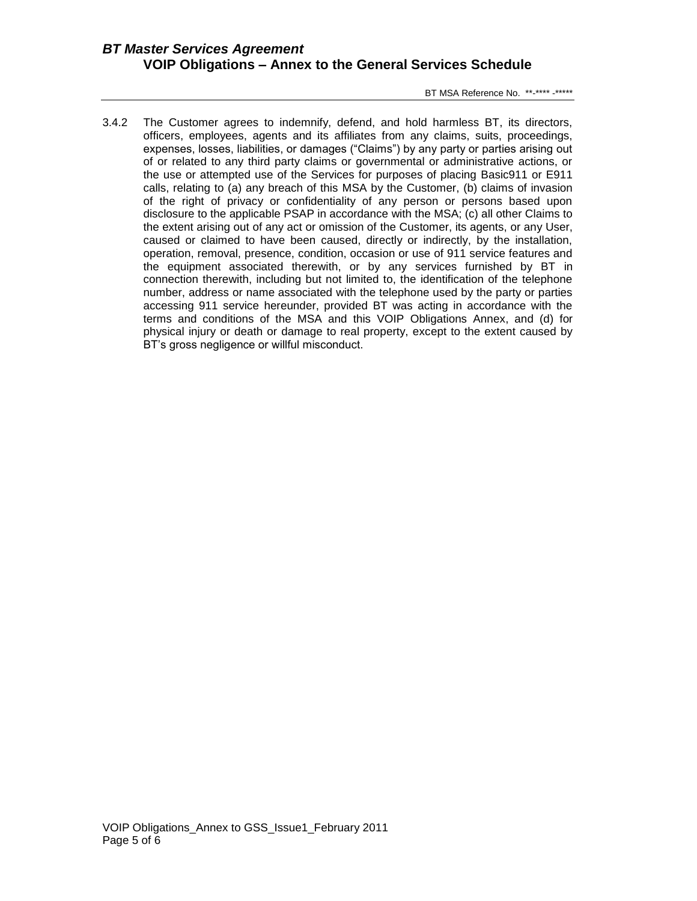BT MSA Reference No. \*\*-\*\*\*\* -\*\*\*\*\*

3.4.2 The Customer agrees to indemnify, defend, and hold harmless BT, its directors, officers, employees, agents and its affiliates from any claims, suits, proceedings, expenses, losses, liabilities, or damages ("Claims") by any party or parties arising out of or related to any third party claims or governmental or administrative actions, or the use or attempted use of the Services for purposes of placing Basic911 or E911 calls, relating to (a) any breach of this MSA by the Customer, (b) claims of invasion of the right of privacy or confidentiality of any person or persons based upon disclosure to the applicable PSAP in accordance with the MSA; (c) all other Claims to the extent arising out of any act or omission of the Customer, its agents, or any User, caused or claimed to have been caused, directly or indirectly, by the installation, operation, removal, presence, condition, occasion or use of 911 service features and the equipment associated therewith, or by any services furnished by BT in connection therewith, including but not limited to, the identification of the telephone number, address or name associated with the telephone used by the party or parties accessing 911 service hereunder, provided BT was acting in accordance with the terms and conditions of the MSA and this VOIP Obligations Annex, and (d) for physical injury or death or damage to real property, except to the extent caused by BT's gross negligence or willful misconduct.